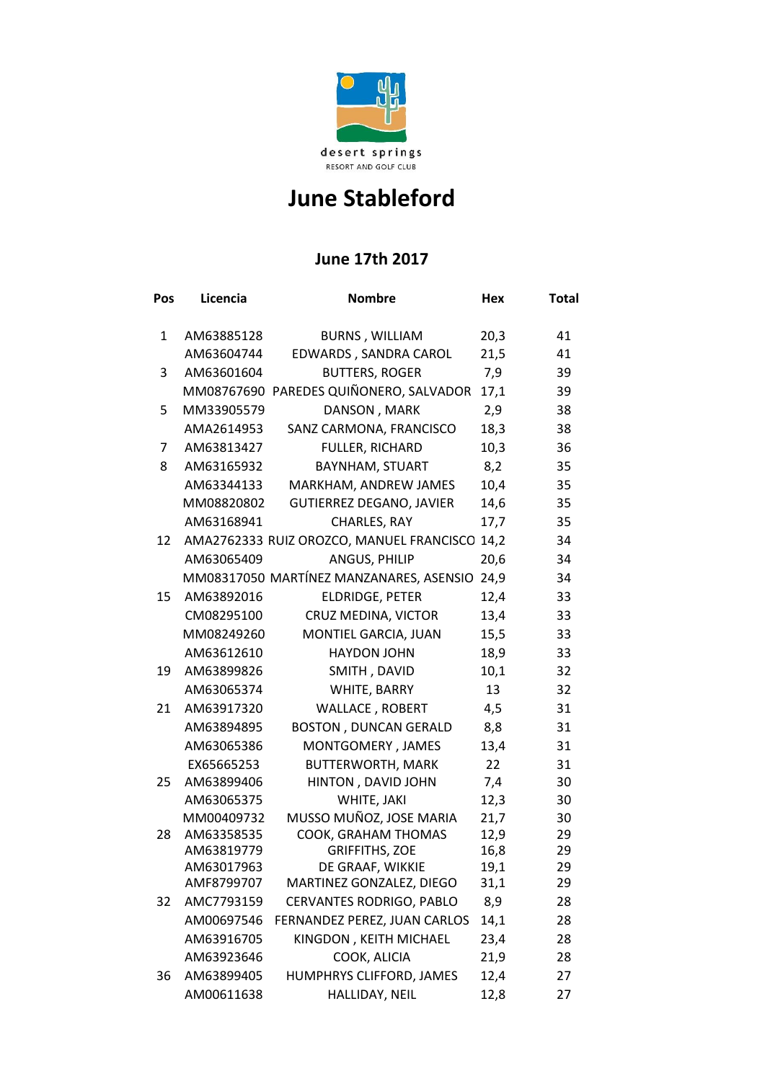

## **June Stableford**

## **June 17th 2017**

| Pos | Licencia                 | <b>Nombre</b>                                 | <b>Hex</b> | <b>Total</b> |
|-----|--------------------------|-----------------------------------------------|------------|--------------|
| 1   | AM63885128               | <b>BURNS, WILLIAM</b>                         | 20,3       | 41           |
|     | AM63604744               | EDWARDS, SANDRA CAROL                         | 21,5       | 41           |
| 3   | AM63601604               | <b>BUTTERS, ROGER</b>                         | 7,9        | 39           |
|     |                          | MM08767690 PAREDES QUIÑONERO, SALVADOR        | 17,1       | 39           |
| 5   | MM33905579               | DANSON, MARK                                  | 2,9        | 38           |
|     | AMA2614953               | SANZ CARMONA, FRANCISCO                       | 18,3       | 38           |
| 7   | AM63813427               | <b>FULLER, RICHARD</b>                        | 10,3       | 36           |
| 8   | AM63165932               | BAYNHAM, STUART                               | 8,2        | 35           |
|     | AM63344133               | MARKHAM, ANDREW JAMES                         | 10,4       | 35           |
|     | MM08820802               | <b>GUTIERREZ DEGANO, JAVIER</b>               | 14,6       | 35           |
|     | AM63168941               | CHARLES, RAY                                  | 17,7       | 35           |
| 12  |                          | AMA2762333 RUIZ OROZCO, MANUEL FRANCISCO 14,2 |            | 34           |
|     | AM63065409               | ANGUS, PHILIP                                 | 20,6       | 34           |
|     |                          | MM08317050 MARTÍNEZ MANZANARES, ASENSIO       | 24,9       | 34           |
| 15  | AM63892016               | <b>ELDRIDGE, PETER</b>                        | 12,4       | 33           |
|     | CM08295100               | CRUZ MEDINA, VICTOR                           | 13,4       | 33           |
|     | MM08249260               | MONTIEL GARCIA, JUAN                          | 15,5       | 33           |
|     | AM63612610               | <b>HAYDON JOHN</b>                            | 18,9       | 33           |
| 19  | AM63899826               | SMITH, DAVID                                  | 10,1       | 32           |
|     | AM63065374               | WHITE, BARRY                                  | 13         | 32           |
| 21  | AM63917320               | <b>WALLACE, ROBERT</b>                        | 4,5        | 31           |
|     | AM63894895               | <b>BOSTON, DUNCAN GERALD</b>                  | 8,8        | 31           |
|     | AM63065386               | MONTGOMERY, JAMES                             | 13,4       | 31           |
|     | EX65665253               | <b>BUTTERWORTH, MARK</b>                      | 22         | 31           |
| 25  | AM63899406               | HINTON, DAVID JOHN                            | 7,4        | 30           |
|     | AM63065375               | WHITE, JAKI                                   | 12,3       | 30           |
|     | MM00409732               | MUSSO MUÑOZ, JOSE MARIA                       | 21,7       | 30           |
| 28  | AM63358535               | COOK, GRAHAM THOMAS                           | 12,9       | 29           |
|     | AM63819779               | <b>GRIFFITHS, ZOE</b>                         | 16,8       | 29           |
|     | AM63017963<br>AMF8799707 | DE GRAAF, WIKKIE                              | 19,1       | 29           |
|     |                          | MARTINEZ GONZALEZ, DIEGO                      | 31,1       | 29           |
| 32  | AMC7793159               | CERVANTES RODRIGO, PABLO                      | 8,9        | 28           |
|     | AM00697546               | FERNANDEZ PEREZ, JUAN CARLOS                  | 14,1       | 28           |
|     | AM63916705               | KINGDON, KEITH MICHAEL                        | 23,4       | 28           |
|     | AM63923646               | COOK, ALICIA                                  | 21,9       | 28           |
| 36  | AM63899405               | HUMPHRYS CLIFFORD, JAMES                      | 12,4       | 27           |
|     | AM00611638               | HALLIDAY, NEIL                                | 12,8       | 27           |